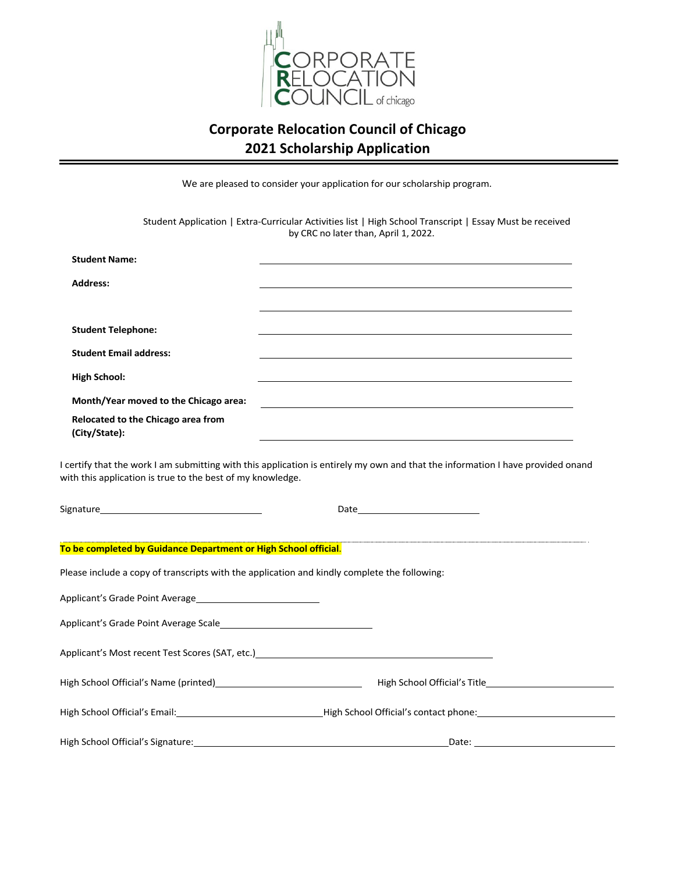

## **Corporate Relocation Council of Chicago 2021 Scholarship Application**

We are pleased to consider your application for our scholarship program.

Student Application | Extra-Curricular Activities list | High School Transcript | Essay Must be received by CRC no later than, April 1, 2022.

| <b>Student Name:</b>                                                                                                                                                                                                                                                                                                                                                               |                                                                                                                                                                                                                                |
|------------------------------------------------------------------------------------------------------------------------------------------------------------------------------------------------------------------------------------------------------------------------------------------------------------------------------------------------------------------------------------|--------------------------------------------------------------------------------------------------------------------------------------------------------------------------------------------------------------------------------|
| <b>Address:</b>                                                                                                                                                                                                                                                                                                                                                                    |                                                                                                                                                                                                                                |
|                                                                                                                                                                                                                                                                                                                                                                                    |                                                                                                                                                                                                                                |
| <b>Student Telephone:</b><br><b>Student Email address:</b><br><b>High School:</b><br>Month/Year moved to the Chicago area:<br>Relocated to the Chicago area from<br>(City/State):<br>I certify that the work I am submitting with this application is entirely my own and that the information I have provided onand<br>with this application is true to the best of my knowledge. |                                                                                                                                                                                                                                |
|                                                                                                                                                                                                                                                                                                                                                                                    |                                                                                                                                                                                                                                |
| To be completed by Guidance Department or High School official.                                                                                                                                                                                                                                                                                                                    |                                                                                                                                                                                                                                |
| Please include a copy of transcripts with the application and kindly complete the following:                                                                                                                                                                                                                                                                                       |                                                                                                                                                                                                                                |
| Applicant's Grade Point Average                                                                                                                                                                                                                                                                                                                                                    |                                                                                                                                                                                                                                |
|                                                                                                                                                                                                                                                                                                                                                                                    |                                                                                                                                                                                                                                |
| Applicant's Most recent Test Scores (SAT, etc.)<br>Applicant's Most recent Test Scores (SAT, etc.)                                                                                                                                                                                                                                                                                 |                                                                                                                                                                                                                                |
|                                                                                                                                                                                                                                                                                                                                                                                    |                                                                                                                                                                                                                                |
|                                                                                                                                                                                                                                                                                                                                                                                    | High School Official's Email: Campbell and China and China and China and China and China and China and China and China and China and China and China and China and China and China and China and China and China and China and |
| High School Official's Signature:                                                                                                                                                                                                                                                                                                                                                  | <u> 1980 - Johann Barbara, martxa alemaniar amerikan a</u>                                                                                                                                                                     |